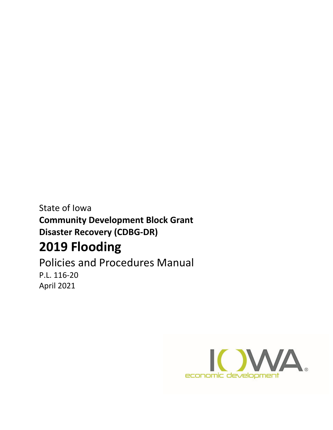## State of Iowa **Community Development Block Grant Disaster Recovery (CDBG‐DR) 2019 Flooding**

Policies and Procedures Manual P.L. 116‐20 April 2021

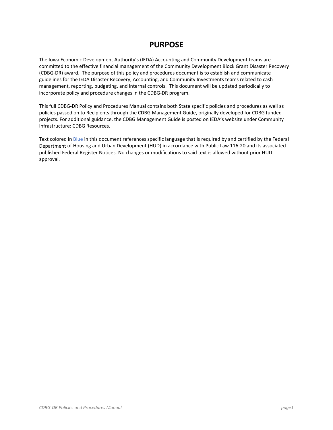## **PURPOSE**

The Iowa Economic Development Authority's (IEDA) Accounting and Community Development teams are committed to the effective financial management of the Community Development Block Grant Disaster Recovery (CDBG‐DR) award. The purpose of this policy and procedures document is to establish and communicate guidelines for the IEDA Disaster Recovery, Accounting, and Community Investments teams related to cash management, reporting, budgeting, and internal controls. This document will be updated periodically to incorporate policy and procedure changes in the CDBG‐DR program.

This full CDBG‐DR Policy and Procedures Manual contains both State specific policies and procedures as well as policies passed on to Recipients through the CDBG Management Guide, originally developed for CDBG funded projects. For additional guidance, the CDBG Management Guide is posted on IEDA's website under Community Infrastructure: CDBG Resources.

Text colored in Blue in this document references specific language that is required by and certified by the Federal Department of Housing and Urban Development (HUD) in accordance with Public Law 116‐20 and its associated published Federal Register Notices. No changes or modifications to said text is allowed without prior HUD approval.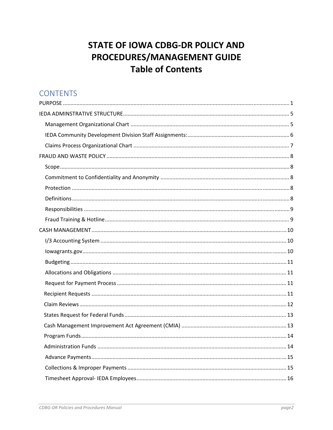## **STATE OF IOWA CDBG-DR POLICY AND** PROCEDURES/MANAGEMENT GUIDE **Table of Contents**

## **CONTENTS**